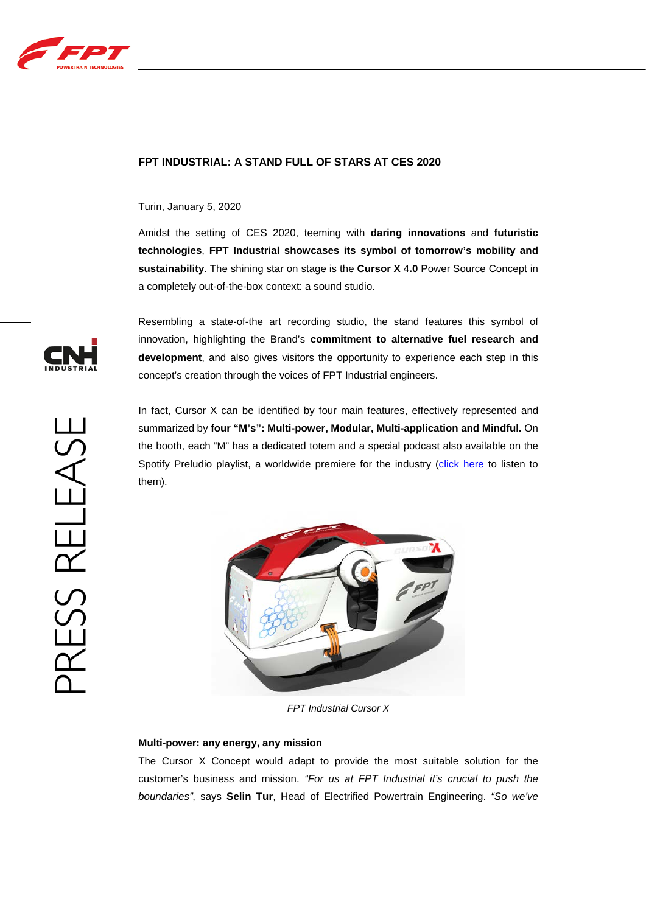

# **FPT INDUSTRIAL: A STAND FULL OF STARS AT CES 2020**

## Turin, January 5, 2020

Amidst the setting of CES 2020, teeming with **daring innovations** and **futuristic technologies**, **FPT Industrial showcases its symbol of tomorrow's mobility and sustainability**. The shining star on stage is the **Cursor X** 4**.0** Power Source Concept in a completely out-of-the-box context: a sound studio.

Resembling a state-of-the art recording studio, the stand features this symbol of innovation, highlighting the Brand's **commitment to alternative fuel research and development**, and also gives visitors the opportunity to experience each step in this concept's creation through the voices of FPT Industrial engineers.

In fact, Cursor X can be identified by four main features, effectively represented and summarized by **four "M's": Multi-power, Modular, Multi-application and Mindful.** On the booth, each "M" has a dedicated totem and a special podcast also available on the Spotify Preludio playlist, a worldwide premiere for the industry [\(click here](https://www.fptindustrial.com/global/en/Pages/a-special-project-with-giorgio-moroder.aspx) to listen to them).



*FPT Industrial Cursor X*

## **Multi-power: any energy, any mission**

The Cursor X Concept would adapt to provide the most suitable solution for the customer's business and mission. *"For us at FPT Industrial it's crucial to push the boundaries"*, says **Selin Tur**, Head of Electrified Powertrain Engineering. *"So we've* 

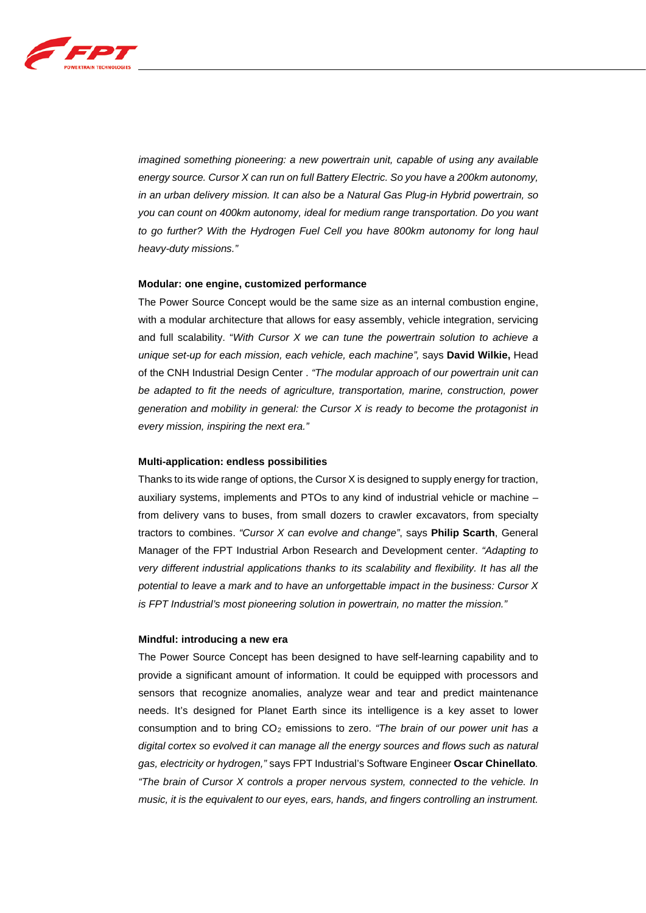

*imagined something pioneering: a new powertrain unit, capable of using any available energy source. Cursor X can run on full Battery Electric. So you have a 200km autonomy, in an urban delivery mission. It can also be a Natural Gas Plug-in Hybrid powertrain, so you can count on 400km autonomy, ideal for medium range transportation. Do you want to go further? With the Hydrogen Fuel Cell you have 800km autonomy for long haul heavy-duty missions."*

#### **Modular: one engine, customized performance**

The Power Source Concept would be the same size as an internal combustion engine, with a modular architecture that allows for easy assembly, vehicle integration, servicing and full scalability. "*With Cursor X we can tune the powertrain solution to achieve a unique set-up for each mission, each vehicle, each machine",* says **David Wilkie,** Head of the CNH Industrial Design Center . *"The modular approach of our powertrain unit can be adapted to fit the needs of agriculture, transportation, marine, construction, power generation and mobility in general: the Cursor X is ready to become the protagonist in every mission, inspiring the next era."* 

#### **Multi-application: endless possibilities**

Thanks to its wide range of options, the Cursor X is designed to supply energy for traction, auxiliary systems, implements and PTOs to any kind of industrial vehicle or machine – from delivery vans to buses, from small dozers to crawler excavators, from specialty tractors to combines. *"Cursor X can evolve and change"*, says **Philip Scarth**, General Manager of the FPT Industrial Arbon Research and Development center. *"Adapting to very different industrial applications thanks to its scalability and flexibility. It has all the potential to leave a mark and to have an unforgettable impact in the business: Cursor X is FPT Industrial's most pioneering solution in powertrain, no matter the mission."* 

#### **Mindful: introducing a new era**

The Power Source Concept has been designed to have self-learning capability and to provide a significant amount of information. It could be equipped with processors and sensors that recognize anomalies, analyze wear and tear and predict maintenance needs. It's designed for Planet Earth since its intelligence is a key asset to lower consumption and to bring CO2 emissions to zero. *"The brain of our power unit has a digital cortex so evolved it can manage all the energy sources and flows such as natural gas, electricity or hydrogen,"* says FPT Industrial's Software Engineer **Oscar Chinellato***. "The brain of Cursor X controls a proper nervous system, connected to the vehicle. In music, it is the equivalent to our eyes, ears, hands, and fingers controlling an instrument.*